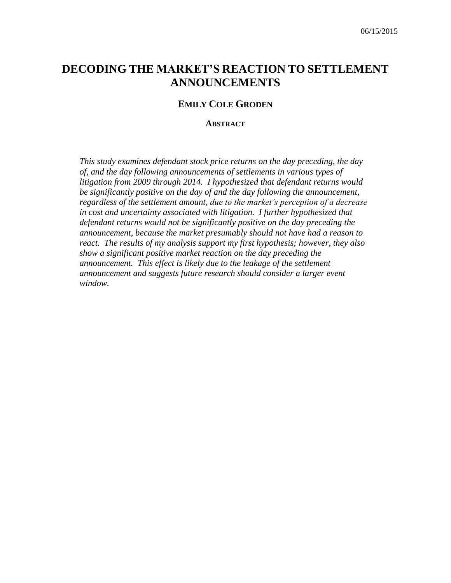# **DECODING THE MARKET'S REACTION TO SETTLEMENT ANNOUNCEMENTS**

#### **EMILY COLE GRODEN**

**ABSTRACT**

*This study examines defendant stock price returns on the day preceding, the day of, and the day following announcements of settlements in various types of litigation from 2009 through 2014. I hypothesized that defendant returns would be significantly positive on the day of and the day following the announcement, regardless of the settlement amount, due to the market's perception of a decrease in cost and uncertainty associated with litigation. I further hypothesized that defendant returns would not be significantly positive on the day preceding the announcement, because the market presumably should not have had a reason to react. The results of my analysis support my first hypothesis; however, they also show a significant positive market reaction on the day preceding the announcement. This effect is likely due to the leakage of the settlement announcement and suggests future research should consider a larger event window.*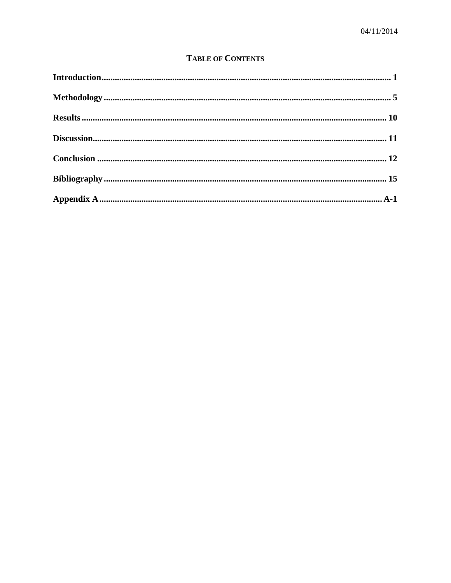## **TABLE OF CONTENTS**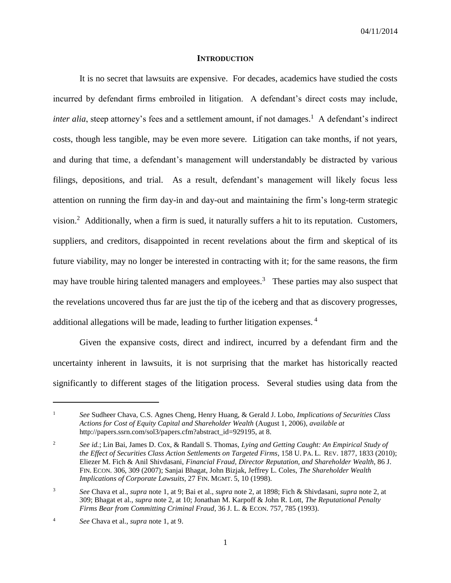#### **INTRODUCTION**

<span id="page-2-0"></span>It is no secret that lawsuits are expensive. For decades, academics have studied the costs incurred by defendant firms embroiled in litigation. A defendant's direct costs may include, *inter alia*, steep attorney's fees and a settlement amount, if not damages.<sup>1</sup> A defendant's indirect costs, though less tangible, may be even more severe. Litigation can take months, if not years, and during that time, a defendant's management will understandably be distracted by various filings, depositions, and trial. As a result, defendant's management will likely focus less attention on running the firm day-in and day-out and maintaining the firm's long-term strategic vision.<sup>2</sup> Additionally, when a firm is sued, it naturally suffers a hit to its reputation. Customers, suppliers, and creditors, disappointed in recent revelations about the firm and skeptical of its future viability, may no longer be interested in contracting with it; for the same reasons, the firm may have trouble hiring talented managers and employees.<sup>3</sup> These parties may also suspect that the revelations uncovered thus far are just the tip of the iceberg and that as discovery progresses, additional allegations will be made, leading to further litigation expenses.<sup>4</sup>

Given the expansive costs, direct and indirect, incurred by a defendant firm and the uncertainty inherent in lawsuits, it is not surprising that the market has historically reacted significantly to different stages of the litigation process. Several studies using data from the

 $\overline{a}$ 

<sup>1</sup> *See* Sudheer Chava, C.S. Agnes Cheng, Henry Huang, & Gerald J. Lobo, *Implications of Securities Class Actions for Cost of Equity Capital and Shareholder Wealth* (August 1, 2006), *available at* http://papers.ssrn.com/sol3/papers.cfm?abstract\_id=929195, at 8.

<sup>2</sup> *See id.*; Lin Bai, James D. Cox, & Randall S. Thomas, *Lying and Getting Caught: An Empirical Study of the Effect of Securities Class Action Settlements on Targeted Firms*, 158 U. PA. L. REV. 1877, 1833 (2010); Eliezer M. Fich & Anil Shivdasani, *Financial Fraud, Director Reputation, and Shareholder Wealth*, 86 J. FIN. ECON. 306, 309 (2007); Sanjai Bhagat, John Bizjak, Jeffrey L. Coles, *The Shareholder Wealth Implications of Corporate Lawsuits*, 27 FIN. MGMT. 5, 10 (1998).

<sup>3</sup> *See* Chava et al., *supra* note 1, at 9; Bai et al., *supra* note 2, at 1898; Fich & Shivdasani, *supra* note 2, at 309; Bhagat et al., *supra* note 2, at 10; Jonathan M. Karpoff & John R. Lott, *The Reputational Penalty Firms Bear from Committing Criminal Fraud*, 36 J. L. & ECON. 757, 785 (1993).

<sup>4</sup> *See* Chava et al., *supra* note 1, at 9.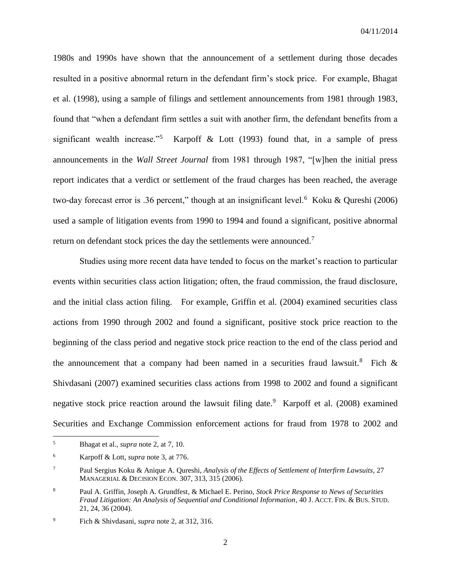1980s and 1990s have shown that the announcement of a settlement during those decades resulted in a positive abnormal return in the defendant firm's stock price. For example, Bhagat et al. (1998), using a sample of filings and settlement announcements from 1981 through 1983, found that "when a defendant firm settles a suit with another firm, the defendant benefits from a significant wealth increase."<sup>5</sup> Karpoff & Lott (1993) found that, in a sample of press announcements in the *Wall Street Journal* from 1981 through 1987, "[w]hen the initial press report indicates that a verdict or settlement of the fraud charges has been reached, the average two-day forecast error is .36 percent," though at an insignificant level.<sup>6</sup> Koku & Qureshi (2006) used a sample of litigation events from 1990 to 1994 and found a significant, positive abnormal return on defendant stock prices the day the settlements were announced.<sup>7</sup>

Studies using more recent data have tended to focus on the market's reaction to particular events within securities class action litigation; often, the fraud commission, the fraud disclosure, and the initial class action filing. For example, Griffin et al. (2004) examined securities class actions from 1990 through 2002 and found a significant, positive stock price reaction to the beginning of the class period and negative stock price reaction to the end of the class period and the announcement that a company had been named in a securities fraud lawsuit.<sup>8</sup> Fich  $\&$ Shivdasani (2007) examined securities class actions from 1998 to 2002 and found a significant negative stock price reaction around the lawsuit filing date.<sup>9</sup> Karpoff et al. (2008) examined Securities and Exchange Commission enforcement actions for fraud from 1978 to 2002 and

 $\overline{a}$ 

<sup>5</sup> Bhagat et al., *supra* note 2, at 7, 10.

<sup>6</sup> Karpoff & Lott, *supra* note 3, at 776.

<sup>7</sup> Paul Sergius Koku & Anique A. Qureshi, *Analysis of the Effects of Settlement of Interfirm Lawsuits*, 27 MANAGERIAL & DECISION ECON. 307, 313, 315 (2006).

<sup>8</sup> Paul A. Griffin, Joseph A. Grundfest, & Michael E. Perino, *Stock Price Response to News of Securities Fraud Litigation: An Analysis of Sequential and Conditional Information*, 40 J. ACCT. FIN. & BUS. STUD. 21, 24, 36 (2004).

<sup>9</sup> Fich & Shivdasani, *supra* note 2, at 312, 316.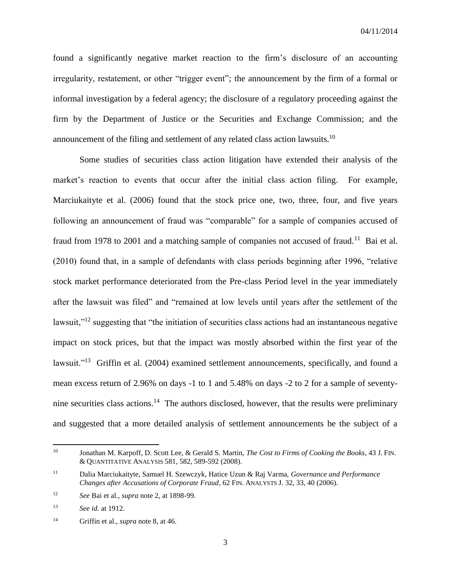found a significantly negative market reaction to the firm's disclosure of an accounting irregularity, restatement, or other "trigger event"; the announcement by the firm of a formal or informal investigation by a federal agency; the disclosure of a regulatory proceeding against the firm by the Department of Justice or the Securities and Exchange Commission; and the announcement of the filing and settlement of any related class action lawsuits.<sup>10</sup>

Some studies of securities class action litigation have extended their analysis of the market's reaction to events that occur after the initial class action filing. For example, Marciukaityte et al. (2006) found that the stock price one, two, three, four, and five years following an announcement of fraud was "comparable" for a sample of companies accused of fraud from 1978 to 2001 and a matching sample of companies not accused of fraud.<sup>11</sup> Bai et al. (2010) found that, in a sample of defendants with class periods beginning after 1996, "relative stock market performance deteriorated from the Pre-class Period level in the year immediately after the lawsuit was filed" and "remained at low levels until years after the settlement of the lawsuit,"<sup>12</sup> suggesting that "the initiation of securities class actions had an instantaneous negative impact on stock prices, but that the impact was mostly absorbed within the first year of the lawsuit."<sup>13</sup> Griffin et al. (2004) examined settlement announcements, specifically, and found a mean excess return of 2.96% on days -1 to 1 and 5.48% on days -2 to 2 for a sample of seventynine securities class actions.<sup>14</sup> The authors disclosed, however, that the results were preliminary and suggested that a more detailed analysis of settlement announcements be the subject of a

 $\overline{\phantom{a}}$ 

<sup>10</sup> Jonathan M. Karpoff, D. Scott Lee, & Gerald S. Martin, *The Cost to Firms of Cooking the Books*, 43 J. FIN. & QUANTITATIVE ANALYSIS 581, 582, 589-592 (2008).

<sup>11</sup> Dalia Marciukaityte, Samuel H. Szewczyk, Hatice Uzun & Raj Varma, *Governance and Performance Changes after Accusations of Corporate Fraud*, 62 FIN. ANALYSTS J. 32, 33, 40 (2006).

<sup>12</sup> *See* Bai et al., *supra* note 2, at 1898-99.

<sup>13</sup> *See id.* at 1912.

<sup>14</sup> Griffin et al., *supra* note 8, at 46.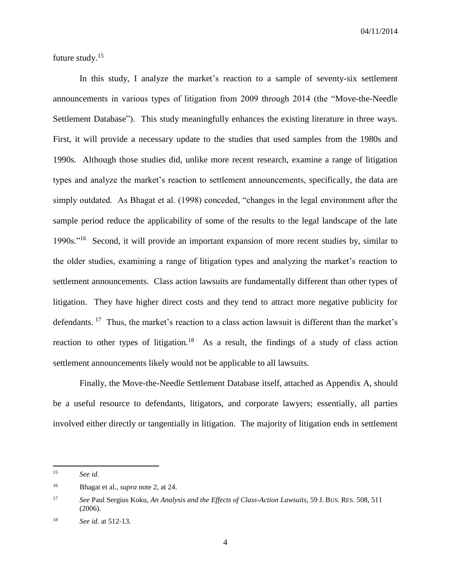future study.<sup>15</sup>

In this study, I analyze the market's reaction to a sample of seventy-six settlement announcements in various types of litigation from 2009 through 2014 (the "Move-the-Needle Settlement Database"). This study meaningfully enhances the existing literature in three ways. First, it will provide a necessary update to the studies that used samples from the 1980s and 1990s. Although those studies did, unlike more recent research, examine a range of litigation types and analyze the market's reaction to settlement announcements, specifically, the data are simply outdated. As Bhagat et al. (1998) conceded, "changes in the legal environment after the sample period reduce the applicability of some of the results to the legal landscape of the late 1990s."<sup>16</sup> Second, it will provide an important expansion of more recent studies by, similar to the older studies, examining a range of litigation types and analyzing the market's reaction to settlement announcements. Class action lawsuits are fundamentally different than other types of litigation. They have higher direct costs and they tend to attract more negative publicity for defendants.<sup>17</sup> Thus, the market's reaction to a class action lawsuit is different than the market's reaction to other types of litigation.<sup>18</sup> As a result, the findings of a study of class action settlement announcements likely would not be applicable to all lawsuits.

Finally, the Move-the-Needle Settlement Database itself, attached as Appendix A, should be a useful resource to defendants, litigators, and corporate lawyers; essentially, all parties involved either directly or tangentially in litigation. The majority of litigation ends in settlement

<sup>15</sup> See id.

<sup>16</sup> Bhagat et al., *supra* note 2, at 24.

<sup>17</sup> *See* Paul Sergius Koku, *An Analysis and the Effects of Class-Action Lawsuits*, 59 J. BUS. RES. 508, 511 (2006).

<sup>18</sup> *See id.* at 512-13.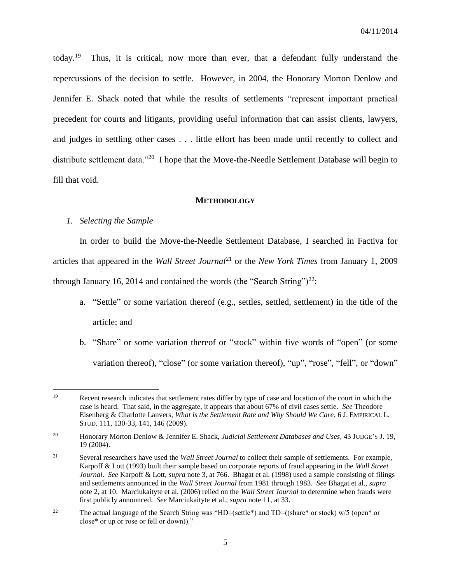today. $19$  Thus, it is critical, now more than ever, that a defendant fully understand the repercussions of the decision to settle. However, in 2004, the Honorary Morton Denlow and Jennifer E. Shack noted that while the results of settlements "represent important practical precedent for courts and litigants, providing useful information that can assist clients, lawyers, and judges in settling other cases . . . little effort has been made until recently to collect and distribute settlement data."<sup>20</sup> I hope that the Move-the-Needle Settlement Database will begin to fill that void.

#### **METHODOLOGY**

#### <span id="page-6-0"></span>*1. Selecting the Sample*

In order to build the Move-the-Needle Settlement Database, I searched in Factiva for articles that appeared in the *Wall Street Journal*<sup>21</sup> or the *New York Times* from January 1, 2009 through January 16, 2014 and contained the words (the "Search String")<sup>22</sup>:

- a. "Settle" or some variation thereof (e.g., settles, settled, settlement) in the title of the article; and
- b. "Share" or some variation thereof or "stock" within five words of "open" (or some variation thereof), "close" (or some variation thereof), "up", "rose", "fell", or "down"

<sup>19</sup> Recent research indicates that settlement rates differ by type of case and location of the court in which the case is heard. That said, in the aggregate, it appears that about 67% of civil cases settle. *See* Theodore Eisenberg & Charlotte Lanvers, *What is the Settlement Rate and Why Should We Care*, 6 J. EMPIRICAL L. STUD. 111, 130-33, 141, 146 (2009).

<sup>20</sup> Honorary Morton Denlow & Jennifer E. Shack, *Judicial Settlement Databases and Uses*, 43 JUDGE'S J. 19, 19 (2004).

<sup>21</sup> Several researchers have used the *Wall Street Journal* to collect their sample of settlements. For example, Karpoff & Lott (1993) built their sample based on corporate reports of fraud appearing in the *Wall Street Journal*. *See* Karpoff & Lott, *supra* note 3, at 766. Bhagat et al. (1998) used a sample consisting of filings and settlements announced in the *Wall Street Journal* from 1981 through 1983. *See* Bhagat et al., *supra* note 2, at 10. Marciukaityte et al. (2006) relied on the *Wall Street Journal* to determine when frauds were first publicly announced. *See* Marciukaityte et al., *supra* note 11, at 33.

<sup>&</sup>lt;sup>22</sup> The actual language of the Search String was "HD=(settle\*) and  $TD=(s)$  (share\* or stock) w/5 (open\* or close\* or up or rose or fell or down))."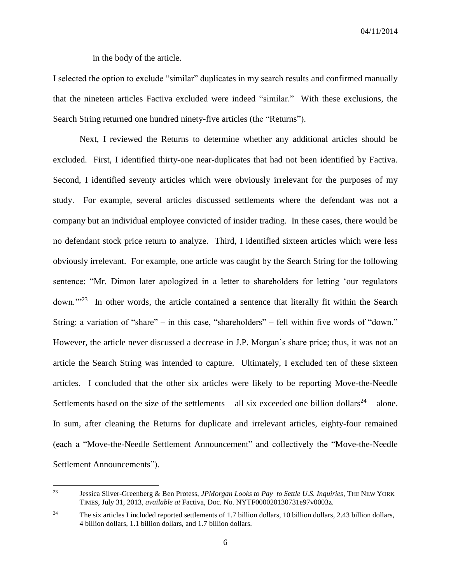in the body of the article.

I selected the option to exclude "similar" duplicates in my search results and confirmed manually that the nineteen articles Factiva excluded were indeed "similar." With these exclusions, the Search String returned one hundred ninety-five articles (the "Returns").

Next, I reviewed the Returns to determine whether any additional articles should be excluded. First, I identified thirty-one near-duplicates that had not been identified by Factiva. Second, I identified seventy articles which were obviously irrelevant for the purposes of my study. For example, several articles discussed settlements where the defendant was not a company but an individual employee convicted of insider trading. In these cases, there would be no defendant stock price return to analyze. Third, I identified sixteen articles which were less obviously irrelevant. For example, one article was caught by the Search String for the following sentence: "Mr. Dimon later apologized in a letter to shareholders for letting 'our regulators down."<sup>23</sup> In other words, the article contained a sentence that literally fit within the Search String: a variation of "share" – in this case, "shareholders" – fell within five words of "down." However, the article never discussed a decrease in J.P. Morgan's share price; thus, it was not an article the Search String was intended to capture. Ultimately, I excluded ten of these sixteen articles. I concluded that the other six articles were likely to be reporting Move-the-Needle Settlements based on the size of the settlements – all six exceeded one billion dollars<sup>24</sup> – alone. In sum, after cleaning the Returns for duplicate and irrelevant articles, eighty-four remained (each a "Move-the-Needle Settlement Announcement" and collectively the "Move-the-Needle Settlement Announcements").

<sup>23</sup> <sup>23</sup> Jessica Silver-Greenberg & Ben Protess, *JPMorgan Looks to Pay to Settle U.S. Inquiries*, THE NEW YORK TIMES, July 31, 2013, *available at* Factiva, Doc. No. NYTF000020130731e97v0003z.

<sup>&</sup>lt;sup>24</sup> The six articles I included reported settlements of 1.7 billion dollars, 10 billion dollars, 2.43 billion dollars, 4 billion dollars, 1.1 billion dollars, and 1.7 billion dollars.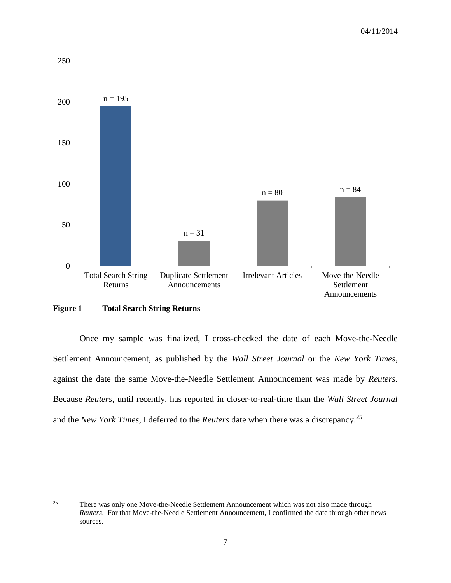

#### **Figure 1 Total Search String Returns**

Once my sample was finalized, I cross-checked the date of each Move-the-Needle Settlement Announcement, as published by the *Wall Street Journal* or the *New York Times*, against the date the same Move-the-Needle Settlement Announcement was made by *Reuters*. Because *Reuters*, until recently, has reported in closer-to-real-time than the *Wall Street Journal* and the *New York Times*, I deferred to the *Reuters* date when there was a discrepancy.<sup>25</sup>

<sup>25</sup> <sup>25</sup> There was only one Move-the-Needle Settlement Announcement which was not also made through *Reuters*. For that Move-the-Needle Settlement Announcement, I confirmed the date through other news sources.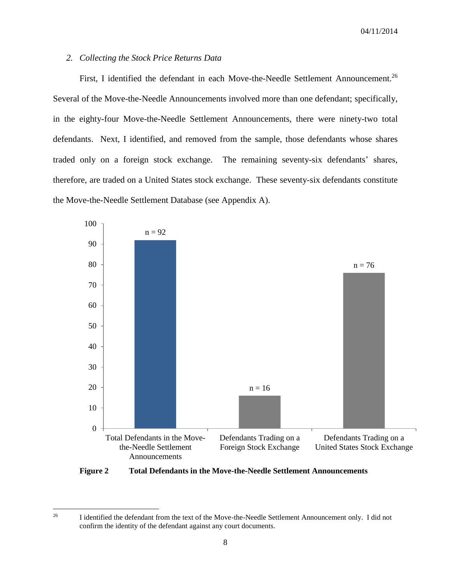#### *2. Collecting the Stock Price Returns Data*

First, I identified the defendant in each Move-the-Needle Settlement Announcement.<sup>26</sup> Several of the Move-the-Needle Announcements involved more than one defendant; specifically, in the eighty-four Move-the-Needle Settlement Announcements, there were ninety-two total defendants. Next, I identified, and removed from the sample, those defendants whose shares traded only on a foreign stock exchange. The remaining seventy-six defendants' shares, therefore, are traded on a United States stock exchange. These seventy-six defendants constitute the Move-the-Needle Settlement Database (see Appendix A).



**Figure 2 Total Defendants in the Move-the-Needle Settlement Announcements**

<sup>26</sup> <sup>26</sup> I identified the defendant from the text of the Move-the-Needle Settlement Announcement only. I did not confirm the identity of the defendant against any court documents.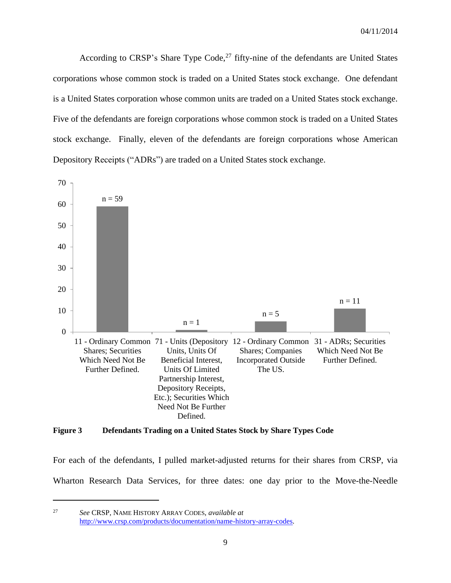According to CRSP's Share Type Code,<sup>27</sup> fifty-nine of the defendants are United States corporations whose common stock is traded on a United States stock exchange. One defendant is a United States corporation whose common units are traded on a United States stock exchange. Five of the defendants are foreign corporations whose common stock is traded on a United States stock exchange. Finally, eleven of the defendants are foreign corporations whose American Depository Receipts ("ADRs") are traded on a United States stock exchange.



#### **Figure 3 Defendants Trading on a United States Stock by Share Types Code**

For each of the defendants, I pulled market-adjusted returns for their shares from CRSP, via Wharton Research Data Services, for three dates: one day prior to the Move-the-Needle

<sup>27</sup> *See* CRSP, NAME HISTORY ARRAY CODES, *available at* [http://www.crsp.com/products/documentation/name-history-array-codes.](http://www.crsp.com/products/documentation/name-history-array-codes) 

 $\overline{\phantom{a}}$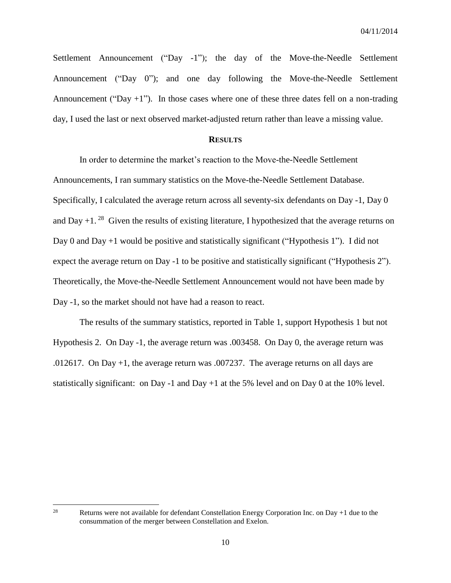Settlement Announcement ("Day -1"); the day of the Move-the-Needle Settlement Announcement ("Day 0"); and one day following the Move-the-Needle Settlement Announcement ("Day  $+1$ "). In those cases where one of these three dates fell on a non-trading day, I used the last or next observed market-adjusted return rather than leave a missing value.

#### **RESULTS**

<span id="page-11-0"></span>In order to determine the market's reaction to the Move-the-Needle Settlement Announcements, I ran summary statistics on the Move-the-Needle Settlement Database. Specifically, I calculated the average return across all seventy-six defendants on Day -1, Day 0 and Day  $+1.^{28}$  Given the results of existing literature, I hypothesized that the average returns on Day 0 and Day +1 would be positive and statistically significant ("Hypothesis 1"). I did not expect the average return on Day -1 to be positive and statistically significant ("Hypothesis 2"). Theoretically, the Move-the-Needle Settlement Announcement would not have been made by Day -1, so the market should not have had a reason to react.

The results of the summary statistics, reported in Table 1, support Hypothesis 1 but not Hypothesis 2. On Day -1, the average return was .003458. On Day 0, the average return was .012617. On Day +1, the average return was .007237. The average returns on all days are statistically significant: on Day -1 and Day +1 at the 5% level and on Day 0 at the 10% level.

28

Returns were not available for defendant Constellation Energy Corporation Inc. on Day +1 due to the consummation of the merger between Constellation and Exelon.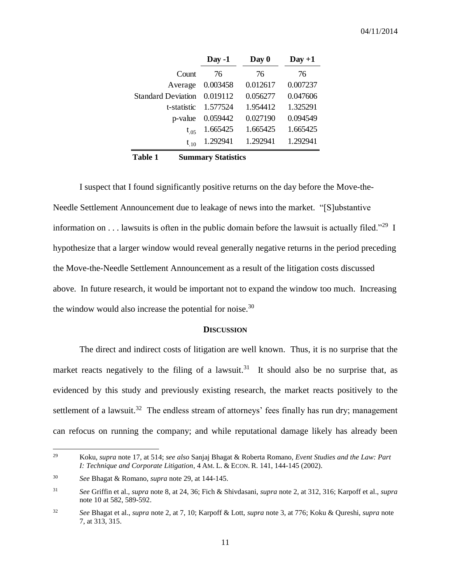|                           | $Day -1$ | Day 0    | $Day + 1$ |
|---------------------------|----------|----------|-----------|
| Count                     | 76       | 76       | 76        |
| Average                   | 0.003458 | 0.012617 | 0.007237  |
| <b>Standard Deviation</b> | 0.019112 | 0.056277 | 0.047606  |
| t-statistic               | 1.577524 | 1.954412 | 1.325291  |
| p-value                   | 0.059442 | 0.027190 | 0.094549  |
| $t_{.05}$                 | 1.665425 | 1.665425 | 1.665425  |
| $t_{.10}$                 | 1.292941 | 1.292941 | 1.292941  |

**Table 1 Summary Statistics**

I suspect that I found significantly positive returns on the day before the Move-the-Needle Settlement Announcement due to leakage of news into the market. "[S]ubstantive information on  $\dots$  lawsuits is often in the public domain before the lawsuit is actually filed."<sup>29</sup> I hypothesize that a larger window would reveal generally negative returns in the period preceding the Move-the-Needle Settlement Announcement as a result of the litigation costs discussed above. In future research, it would be important not to expand the window too much. Increasing the window would also increase the potential for noise. $30$ 

#### **DISCUSSION**

<span id="page-12-0"></span>The direct and indirect costs of litigation are well known. Thus, it is no surprise that the market reacts negatively to the filing of a lawsuit.<sup>31</sup> It should also be no surprise that, as evidenced by this study and previously existing research, the market reacts positively to the settlement of a lawsuit.<sup>32</sup> The endless stream of attorneys' fees finally has run dry; management can refocus on running the company; and while reputational damage likely has already been

 $\overline{\phantom{a}}$ 

<sup>29</sup> Koku, *supra* note 17, at 514; *see also* Sanjaj Bhagat & Roberta Romano, *Event Studies and the Law: Part I: Technique and Corporate Litigation*, 4 AM. L. & ECON. R. 141, 144-145 (2002).

<sup>30</sup> *See* Bhagat & Romano, *supra* note 29, at 144-145.

<sup>31</sup> *See* Griffin et al., *supra* note 8, at 24, 36; Fich & Shivdasani, *supra* note 2, at 312, 316; Karpoff et al., *supra* note 10 at 582, 589-592.

<sup>32</sup> *See* Bhagat et al., *supra* note 2, at 7, 10; Karpoff & Lott, *supra* note 3, at 776; Koku & Qureshi, *supra* note 7, at 313, 315.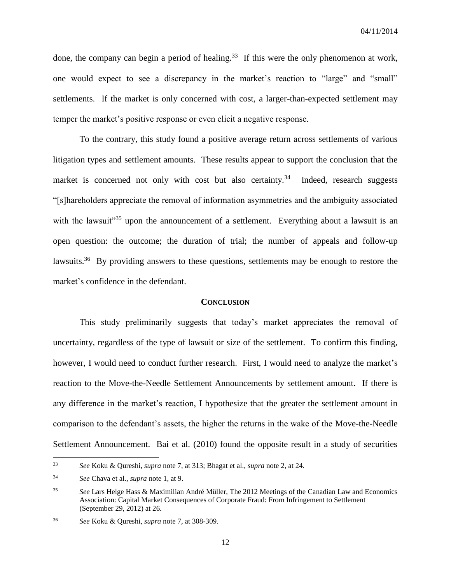done, the company can begin a period of healing.<sup>33</sup> If this were the only phenomenon at work, one would expect to see a discrepancy in the market's reaction to "large" and "small" settlements. If the market is only concerned with cost, a larger-than-expected settlement may temper the market's positive response or even elicit a negative response.

To the contrary, this study found a positive average return across settlements of various litigation types and settlement amounts. These results appear to support the conclusion that the market is concerned not only with cost but also certainty.<sup>34</sup> Indeed, research suggests "[s]hareholders appreciate the removal of information asymmetries and the ambiguity associated with the lawsuit<sup> $35$ </sup> upon the announcement of a settlement. Everything about a lawsuit is an open question: the outcome; the duration of trial; the number of appeals and follow-up lawsuits.<sup>36</sup> By providing answers to these questions, settlements may be enough to restore the market's confidence in the defendant.

#### **CONCLUSION**

<span id="page-13-0"></span>This study preliminarily suggests that today's market appreciates the removal of uncertainty, regardless of the type of lawsuit or size of the settlement. To confirm this finding, however, I would need to conduct further research. First, I would need to analyze the market's reaction to the Move-the-Needle Settlement Announcements by settlement amount. If there is any difference in the market's reaction, I hypothesize that the greater the settlement amount in comparison to the defendant's assets, the higher the returns in the wake of the Move-the-Needle Settlement Announcement. Bai et al. (2010) found the opposite result in a study of securities

<sup>33</sup> <sup>33</sup> *See* Koku & Qureshi, *supra* note 7, at 313; Bhagat et al., *supra* note 2, at 24.

<sup>34</sup> *See* Chava et al., *supra* note 1, at 9.

<sup>35</sup> *See* Lars Helge Hass & Maximilian André Müller, The 2012 Meetings of the Canadian Law and Economics Association: Capital Market Consequences of Corporate Fraud: From Infringement to Settlement (September 29, 2012) at 26.

<sup>36</sup> *See* Koku & Qureshi, *supra* note 7, at 308-309.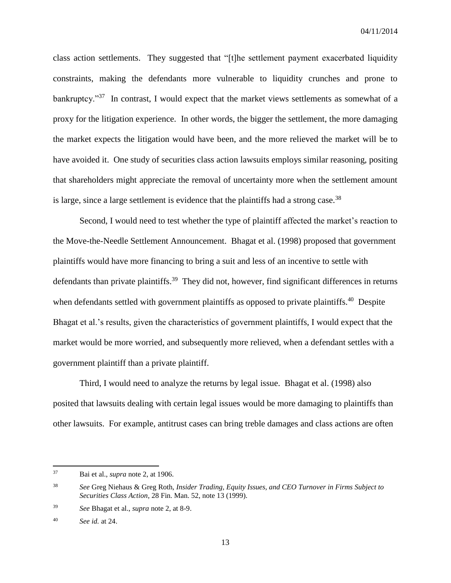class action settlements. They suggested that "[t]he settlement payment exacerbated liquidity constraints, making the defendants more vulnerable to liquidity crunches and prone to bankruptcy."<sup>37</sup> In contrast, I would expect that the market views settlements as somewhat of a proxy for the litigation experience. In other words, the bigger the settlement, the more damaging the market expects the litigation would have been, and the more relieved the market will be to have avoided it. One study of securities class action lawsuits employs similar reasoning, positing that shareholders might appreciate the removal of uncertainty more when the settlement amount is large, since a large settlement is evidence that the plaintiffs had a strong case.<sup>38</sup>

Second, I would need to test whether the type of plaintiff affected the market's reaction to the Move-the-Needle Settlement Announcement. Bhagat et al. (1998) proposed that government plaintiffs would have more financing to bring a suit and less of an incentive to settle with defendants than private plaintiffs.<sup>39</sup> They did not, however, find significant differences in returns when defendants settled with government plaintiffs as opposed to private plaintiffs.<sup>40</sup> Despite Bhagat et al.'s results, given the characteristics of government plaintiffs, I would expect that the market would be more worried, and subsequently more relieved, when a defendant settles with a government plaintiff than a private plaintiff.

Third, I would need to analyze the returns by legal issue. Bhagat et al. (1998) also posited that lawsuits dealing with certain legal issues would be more damaging to plaintiffs than other lawsuits. For example, antitrust cases can bring treble damages and class actions are often

<sup>37</sup> Bai et al., *supra* note 2, at 1906.

<sup>38</sup> *See* Greg Niehaus & Greg Roth, *Insider Trading, Equity Issues, and CEO Turnover in Firms Subject to Securities Class Action*, 28 Fin. Man. 52, note 13 (1999).

<sup>39</sup> *See* Bhagat et al., *supra* note 2, at 8-9.

<sup>40</sup> *See id.* at 24.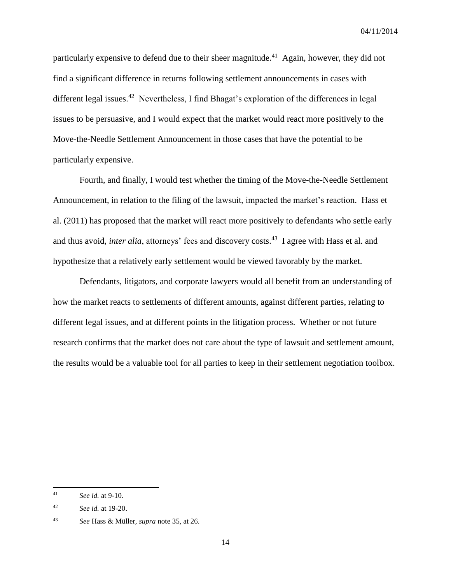particularly expensive to defend due to their sheer magnitude.<sup>41</sup> Again, however, they did not find a significant difference in returns following settlement announcements in cases with different legal issues.<sup>42</sup> Nevertheless, I find Bhagat's exploration of the differences in legal issues to be persuasive, and I would expect that the market would react more positively to the Move-the-Needle Settlement Announcement in those cases that have the potential to be particularly expensive.

Fourth, and finally, I would test whether the timing of the Move-the-Needle Settlement Announcement, in relation to the filing of the lawsuit, impacted the market's reaction. Hass et al. (2011) has proposed that the market will react more positively to defendants who settle early and thus avoid, *inter alia*, attorneys' fees and discovery costs.<sup>43</sup> I agree with Hass et al. and hypothesize that a relatively early settlement would be viewed favorably by the market.

Defendants, litigators, and corporate lawyers would all benefit from an understanding of how the market reacts to settlements of different amounts, against different parties, relating to different legal issues, and at different points in the litigation process. Whether or not future research confirms that the market does not care about the type of lawsuit and settlement amount, the results would be a valuable tool for all parties to keep in their settlement negotiation toolbox.

 $41$ <sup>41</sup> *See id.* at 9-10.

<sup>42</sup> *See id.* at 19-20.

<sup>43</sup> *See* Hass & Müller, *supra* note 35, at 26.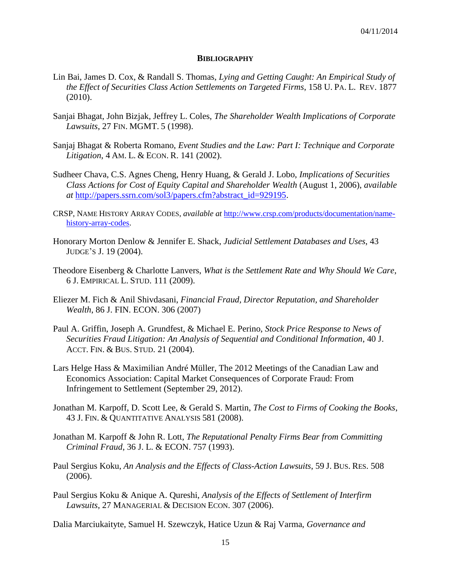#### **BIBLIOGRAPHY**

- <span id="page-16-0"></span>Lin Bai, James D. Cox, & Randall S. Thomas, *Lying and Getting Caught: An Empirical Study of the Effect of Securities Class Action Settlements on Targeted Firms*, 158 U. PA. L. REV. 1877 (2010).
- Sanjai Bhagat, John Bizjak, Jeffrey L. Coles, *The Shareholder Wealth Implications of Corporate Lawsuits*, 27 FIN. MGMT. 5 (1998).
- Sanjaj Bhagat & Roberta Romano, *Event Studies and the Law: Part I: Technique and Corporate Litigation*, 4 AM. L. & ECON. R. 141 (2002).
- Sudheer Chava, C.S. Agnes Cheng, Henry Huang, & Gerald J. Lobo, *Implications of Securities Class Actions for Cost of Equity Capital and Shareholder Wealth* (August 1, 2006), *available at* [http://papers.ssrn.com/sol3/papers.cfm?abstract\\_id=929195.](http://papers.ssrn.com/sol3/papers.cfm?abstract_id=929195)
- CRSP, NAME HISTORY ARRAY CODES, *available at* [http://www.crsp.com/products/documentation/name](http://www.crsp.com/products/documentation/name-history-array-codes)[history-array-codes.](http://www.crsp.com/products/documentation/name-history-array-codes)
- Honorary Morton Denlow & Jennifer E. Shack, *Judicial Settlement Databases and Uses*, 43 JUDGE'S J. 19 (2004).
- Theodore Eisenberg & Charlotte Lanvers, *What is the Settlement Rate and Why Should We Care*, 6 J. EMPIRICAL L. STUD. 111 (2009).
- Eliezer M. Fich & Anil Shivdasani, *Financial Fraud, Director Reputation, and Shareholder Wealth*, 86 J. FIN. ECON. 306 (2007)
- Paul A. Griffin, Joseph A. Grundfest, & Michael E. Perino, *Stock Price Response to News of Securities Fraud Litigation: An Analysis of Sequential and Conditional Information*, 40 J. ACCT. FIN. & BUS. STUD. 21 (2004).
- Lars Helge Hass & Maximilian André Müller, The 2012 Meetings of the Canadian Law and Economics Association: Capital Market Consequences of Corporate Fraud: From Infringement to Settlement (September 29, 2012).
- Jonathan M. Karpoff, D. Scott Lee, & Gerald S. Martin, *The Cost to Firms of Cooking the Books*, 43 J. FIN. & QUANTITATIVE ANALYSIS 581 (2008).
- Jonathan M. Karpoff & John R. Lott, *The Reputational Penalty Firms Bear from Committing Criminal Fraud*, 36 J. L. & ECON. 757 (1993).
- Paul Sergius Koku, *An Analysis and the Effects of Class-Action Lawsuits*, 59 J. BUS. RES. 508 (2006).
- Paul Sergius Koku & Anique A. Qureshi, *Analysis of the Effects of Settlement of Interfirm Lawsuits*, 27 MANAGERIAL & DECISION ECON. 307 (2006).

Dalia Marciukaityte, Samuel H. Szewczyk, Hatice Uzun & Raj Varma, *Governance and*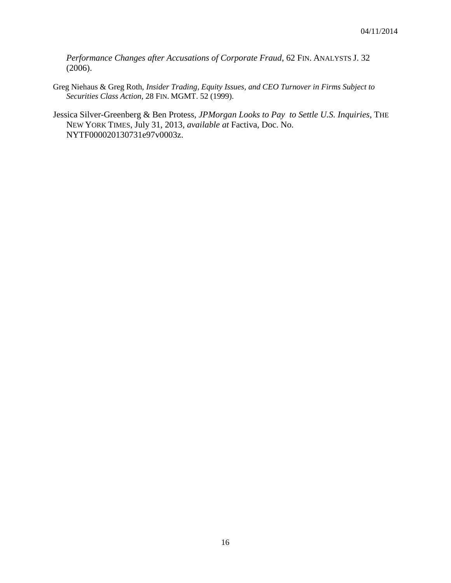*Performance Changes after Accusations of Corporate Fraud*, 62 FIN. ANALYSTS J. 32 (2006).

- Greg Niehaus & Greg Roth, *Insider Trading, Equity Issues, and CEO Turnover in Firms Subject to Securities Class Action*, 28 FIN. MGMT. 52 (1999).
- Jessica Silver-Greenberg & Ben Protess, *JPMorgan Looks to Pay to Settle U.S. Inquiries*, THE NEW YORK TIMES, July 31, 2013, *available at* Factiva, Doc. No. NYTF000020130731e97v0003z.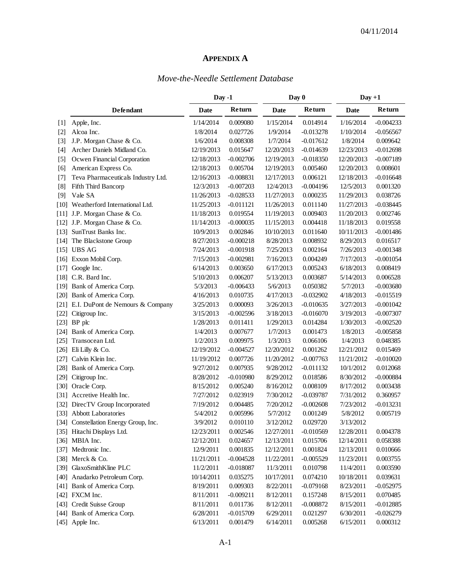### **APPENDIX A**

### *Move-the-Needle Settlement Database*

<span id="page-18-0"></span>

|                    |                                       | Day -1     |             | Day 0      |             | $Day + 1$  |             |
|--------------------|---------------------------------------|------------|-------------|------------|-------------|------------|-------------|
|                    | <b>Defendant</b>                      | Date       | Return      | Date       | Return      | Date       | Return      |
| $[1]$              | Apple, Inc.                           | 1/14/2014  | 0.009080    | 1/15/2014  | 0.014914    | 1/16/2014  | $-0.004233$ |
| $[2]$              | Alcoa Inc.                            | 1/8/2014   | 0.027726    | 1/9/2014   | $-0.013278$ | 1/10/2014  | $-0.056567$ |
| $[3]$              | J.P. Morgan Chase & Co.               | 1/6/2014   | 0.008308    | 1/7/2014   | $-0.017612$ | 1/8/2014   | 0.009642    |
| $[4]$              | Archer Daniels Midland Co.            | 12/19/2013 | 0.015647    | 12/20/2013 | $-0.014639$ | 12/23/2013 | $-0.012698$ |
| $[5]$              | Ocwen Financial Corporation           | 12/18/2013 | $-0.002706$ | 12/19/2013 | $-0.018350$ | 12/20/2013 | $-0.007189$ |
| [6]                | American Express Co.                  | 12/18/2013 | 0.005704    | 12/19/2013 | 0.005460    | 12/20/2013 | 0.008601    |
| $[7]$              | Teva Pharmaceuticals Industry Ltd.    | 12/16/2013 | $-0.008831$ | 12/17/2013 | 0.006121    | 12/18/2013 | $-0.016648$ |
| [8]                | Fifth Third Bancorp                   | 12/3/2013  | $-0.007203$ | 12/4/2013  | $-0.004196$ | 12/5/2013  | 0.001320    |
| [9]                | Vale SA                               | 11/26/2013 | $-0.028533$ | 11/27/2013 | 0.000235    | 11/29/2013 | 0.038726    |
| $\lceil 10 \rceil$ | Weatherford International Ltd.        | 11/25/2013 | $-0.011121$ | 11/26/2013 | 0.011140    | 11/27/2013 | $-0.038445$ |
| [11]               | J.P. Morgan Chase & Co.               | 11/18/2013 | 0.019554    | 11/19/2013 | 0.009403    | 11/20/2013 | 0.002746    |
| $\lceil 12 \rceil$ | J.P. Morgan Chase & Co.               | 11/14/2013 | $-0.000035$ | 11/15/2013 | 0.004418    | 11/18/2013 | 0.019558    |
| [13]               | SunTrust Banks Inc.                   | 10/9/2013  | 0.002846    | 10/10/2013 | 0.011640    | 10/11/2013 | $-0.001486$ |
| $[14]$             | The Blackstone Group                  | 8/27/2013  | $-0.000218$ | 8/28/2013  | 0.008932    | 8/29/2013  | 0.016517    |
| [15]               | <b>UBS AG</b>                         | 7/24/2013  | $-0.001918$ | 7/25/2013  | 0.002164    | 7/26/2013  | $-0.001348$ |
| $[16]$             | Exxon Mobil Corp.                     | 7/15/2013  | $-0.002981$ | 7/16/2013  | 0.004249    | 7/17/2013  | $-0.001054$ |
| $[17]$             | Google Inc.                           | 6/14/2013  | 0.003650    | 6/17/2013  | 0.005243    | 6/18/2013  | 0.008419    |
| [18]               | C.R. Bard Inc.                        | 5/10/2013  | 0.006207    | 5/13/2013  | 0.003687    | 5/14/2013  | 0.006528    |
| [19]               | Bank of America Corp.                 | 5/3/2013   | $-0.006433$ | 5/6/2013   | 0.050382    | 5/7/2013   | $-0.003680$ |
| [20]               | Bank of America Corp.                 | 4/16/2013  | 0.010735    | 4/17/2013  | $-0.032902$ | 4/18/2013  | $-0.015519$ |
| [21]               | E.I. DuPont de Nemours & Company      | 3/25/2013  | 0.000093    | 3/26/2013  | $-0.010635$ | 3/27/2013  | $-0.001042$ |
| $[22]$             | Citigroup Inc.                        | 3/15/2013  | $-0.002596$ | 3/18/2013  | $-0.016070$ | 3/19/2013  | $-0.007307$ |
| $[23]$             | BP plc                                | 1/28/2013  | 0.011411    | 1/29/2013  | 0.014284    | 1/30/2013  | $-0.002520$ |
| $[24]$             | Bank of America Corp.                 | 1/4/2013   | 0.007677    | 1/7/2013   | 0.001473    | 1/8/2013   | $-0.005858$ |
| $[25]$             | Transocean Ltd.                       | 1/2/2013   | 0.009975    | 1/3/2013   | 0.066106    | 1/4/2013   | 0.048385    |
| $[26]$             | Eli Lilly & Co.                       | 12/19/2012 | $-0.004527$ | 12/20/2012 | 0.001262    | 12/21/2012 | 0.015469    |
| $[27]$             | Calvin Klein Inc.                     | 11/19/2012 | 0.007726    | 11/20/2012 | $-0.007763$ | 11/21/2012 | $-0.010020$ |
| [28]               | Bank of America Corp.                 | 9/27/2012  | 0.007935    | 9/28/2012  | $-0.011132$ | 10/1/2012  | 0.012068    |
| $[29]$             | Citigroup Inc.                        | 8/28/2012  | $-0.010980$ | 8/29/2012  | 0.018586    | 8/30/2012  | $-0.000884$ |
| $[30]$             | Oracle Corp.                          | 8/15/2012  | 0.005240    | 8/16/2012  | 0.008109    | 8/17/2012  | 0.003438    |
| $[31]$             | Accretive Health Inc.                 | 7/27/2012  | 0.023919    | 7/30/2012  | $-0.039787$ | 7/31/2012  | 0.360957    |
| $[32]$             | DirecTV Group Incorporated            | 7/19/2012  | 0.004485    | 7/20/2012  | $-0.002608$ | 7/23/2012  | $-0.013231$ |
| $[33]$             | <b>Abbott Laboratories</b>            | 5/4/2012   | 0.005996    | 5/7/2012   | 0.001249    | 5/8/2012   | 0.005719    |
|                    | [34] Constellation Energy Group, Inc. | 3/9/2012   | 0.010110    | 3/12/2012  | 0.029720    | 3/13/2012  |             |
|                    | [35] Hitachi Displays Ltd.            | 12/23/2011 | 0.002546    | 12/27/2011 | $-0.010569$ | 12/28/2011 | 0.004378    |
|                    | [36] MBIA Inc.                        | 12/12/2011 | 0.024657    | 12/13/2011 | 0.015706    | 12/14/2011 | 0.058388    |
|                    | [37] Medtronic Inc.                   | 12/9/2011  | 0.001835    | 12/12/2011 | 0.001824    | 12/13/2011 | 0.010666    |
|                    | [38] Merck & Co.                      | 11/21/2011 | $-0.004528$ | 11/22/2011 | $-0.005529$ | 11/23/2011 | 0.003755    |
| [39]               | GlaxoSmithKline PLC                   | 11/2/2011  | $-0.018087$ | 11/3/2011  | 0.010798    | 11/4/2011  | 0.003590    |
| [40]               | Anadarko Petroleum Corp.              | 10/14/2011 | 0.035275    | 10/17/2011 | 0.074210    | 10/18/2011 | 0.039631    |
|                    | [41] Bank of America Corp.            | 8/19/2011  | 0.009303    | 8/22/2011  | $-0.079168$ | 8/23/2011  | $-0.052975$ |
|                    | [42] FXCM Inc.                        | 8/11/2011  | $-0.009211$ | 8/12/2011  | 0.157248    | 8/15/2011  | 0.070485    |
|                    | [43] Credit Suisse Group              | 8/11/2011  | 0.011736    | 8/12/2011  | $-0.008872$ | 8/15/2011  | $-0.012885$ |
|                    | [44] Bank of America Corp.            | 6/28/2011  | $-0.015709$ | 6/29/2011  | 0.021297    | 6/30/2011  | $-0.026279$ |
|                    | [45] Apple Inc.                       | 6/13/2011  | 0.001479    | 6/14/2011  | 0.005268    | 6/15/2011  | 0.000312    |